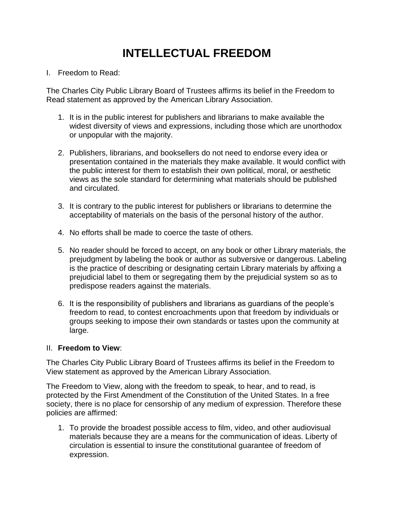## **INTELLECTUAL FREEDOM**

I. Freedom to Read:

The Charles City Public Library Board of Trustees affirms its belief in the Freedom to Read statement as approved by the American Library Association.

- 1. It is in the public interest for publishers and librarians to make available the widest diversity of views and expressions, including those which are unorthodox or unpopular with the majority.
- 2. Publishers, librarians, and booksellers do not need to endorse every idea or presentation contained in the materials they make available. It would conflict with the public interest for them to establish their own political, moral, or aesthetic views as the sole standard for determining what materials should be published and circulated.
- 3. It is contrary to the public interest for publishers or librarians to determine the acceptability of materials on the basis of the personal history of the author.
- 4. No efforts shall be made to coerce the taste of others.
- 5. No reader should be forced to accept, on any book or other Library materials, the prejudgment by labeling the book or author as subversive or dangerous. Labeling is the practice of describing or designating certain Library materials by affixing a prejudicial label to them or segregating them by the prejudicial system so as to predispose readers against the materials.
- 6. It is the responsibility of publishers and librarians as guardians of the people's freedom to read, to contest encroachments upon that freedom by individuals or groups seeking to impose their own standards or tastes upon the community at large.

## II. **Freedom to View**:

The Charles City Public Library Board of Trustees affirms its belief in the Freedom to View statement as approved by the American Library Association.

The Freedom to View, along with the freedom to speak, to hear, and to read, is protected by the First Amendment of the Constitution of the United States. In a free society, there is no place for censorship of any medium of expression. Therefore these policies are affirmed:

1. To provide the broadest possible access to film, video, and other audiovisual materials because they are a means for the communication of ideas. Liberty of circulation is essential to insure the constitutional guarantee of freedom of expression.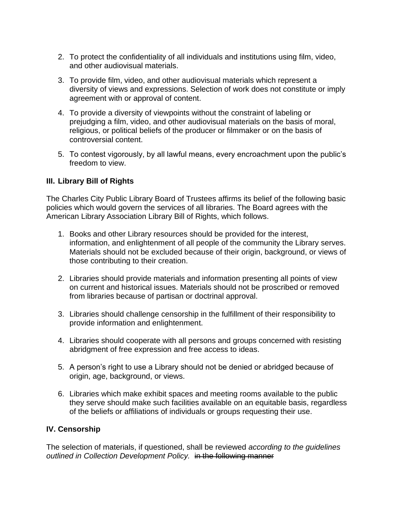- 2. To protect the confidentiality of all individuals and institutions using film, video, and other audiovisual materials.
- 3. To provide film, video, and other audiovisual materials which represent a diversity of views and expressions. Selection of work does not constitute or imply agreement with or approval of content.
- 4. To provide a diversity of viewpoints without the constraint of labeling or prejudging a film, video, and other audiovisual materials on the basis of moral, religious, or political beliefs of the producer or filmmaker or on the basis of controversial content.
- 5. To contest vigorously, by all lawful means, every encroachment upon the public's freedom to view.

## **III. Library Bill of Rights**

The Charles City Public Library Board of Trustees affirms its belief of the following basic policies which would govern the services of all libraries. The Board agrees with the American Library Association Library Bill of Rights, which follows.

- 1. Books and other Library resources should be provided for the interest, information, and enlightenment of all people of the community the Library serves. Materials should not be excluded because of their origin, background, or views of those contributing to their creation.
- 2. Libraries should provide materials and information presenting all points of view on current and historical issues. Materials should not be proscribed or removed from libraries because of partisan or doctrinal approval.
- 3. Libraries should challenge censorship in the fulfillment of their responsibility to provide information and enlightenment.
- 4. Libraries should cooperate with all persons and groups concerned with resisting abridgment of free expression and free access to ideas.
- 5. A person's right to use a Library should not be denied or abridged because of origin, age, background, or views.
- 6. Libraries which make exhibit spaces and meeting rooms available to the public they serve should make such facilities available on an equitable basis, regardless of the beliefs or affiliations of individuals or groups requesting their use.

## **IV. Censorship**

The selection of materials, if questioned, shall be reviewed *according to the guidelines outlined in Collection Development Policy.* in the following manner